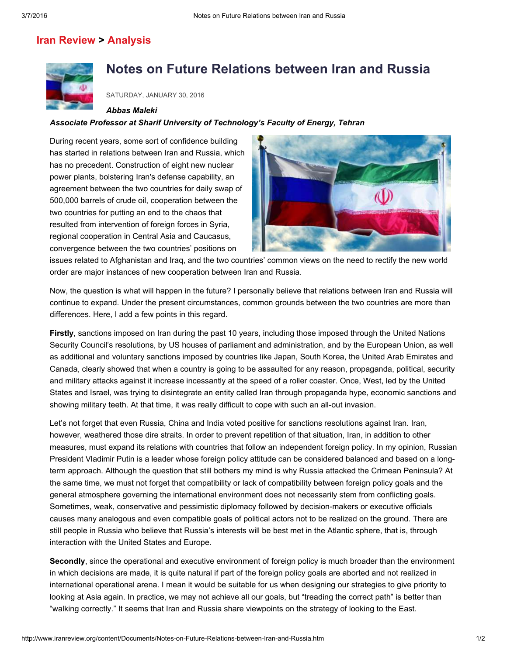# Iran [Review](http://www.iranreview.org/cms/classificationList.aspx?classification=4ce90591-2fa2-4fd5-9c8a-946c9247bc99) > [Analysis](http://www.iranreview.org/cms/classificationList.aspx?classification=5805ce58-bdc0-466b-94b9-028081c34ea2)



# Notes on Future Relations between Iran and Russia

SATURDAY, JANUARY 30, 2016

#### *Abbas Maleki*

### *Associate Professor at Sharif University of Technology's Faculty of Energy, Tehran*

During recent years, some sort of confidence building has started in relations between Iran and Russia, which has no precedent. Construction of eight new nuclear power plants, bolstering Iran's defense capability, an agreement between the two countries for daily swap of 500,000 barrels of crude oil, cooperation between the two countries for putting an end to the chaos that resulted from intervention of foreign forces in Syria, regional cooperation in Central Asia and Caucasus, convergence between the two countries' positions on



issues related to Afghanistan and Iraq, and the two countries' common views on the need to rectify the new world order are major instances of new cooperation between Iran and Russia.

Now, the question is what will happen in the future? I personally believe that relations between Iran and Russia will continue to expand. Under the present circumstances, common grounds between the two countries are more than differences. Here, I add a few points in this regard.

Firstly, sanctions imposed on Iran during the past 10 years, including those imposed through the United Nations Security Council's resolutions, by US houses of parliament and administration, and by the European Union, as well as additional and voluntary sanctions imposed by countries like Japan, South Korea, the United Arab Emirates and Canada, clearly showed that when a country is going to be assaulted for any reason, propaganda, political, security and military attacks against it increase incessantly at the speed of a roller coaster. Once, West, led by the United States and Israel, was trying to disintegrate an entity called Iran through propaganda hype, economic sanctions and showing military teeth. At that time, it was really difficult to cope with such an all-out invasion.

Let's not forget that even Russia, China and India voted positive for sanctions resolutions against Iran. Iran, however, weathered those dire straits. In order to prevent repetition of that situation, Iran, in addition to other measures, must expand its relations with countries that follow an independent foreign policy. In my opinion, Russian President Vladimir Putin is a leader whose foreign policy attitude can be considered balanced and based on a longterm approach. Although the question that still bothers my mind is why Russia attacked the Crimean Peninsula? At the same time, we must not forget that compatibility or lack of compatibility between foreign policy goals and the general atmosphere governing the international environment does not necessarily stem from conflicting goals. Sometimes, weak, conservative and pessimistic diplomacy followed by decision-makers or executive officials causes many analogous and even compatible goals of political actors not to be realized on the ground. There are still people in Russia who believe that Russia's interests will be best met in the Atlantic sphere, that is, through interaction with the United States and Europe.

Secondly, since the operational and executive environment of foreign policy is much broader than the environment in which decisions are made, it is quite natural if part of the foreign policy goals are aborted and not realized in international operational arena. I mean it would be suitable for us when designing our strategies to give priority to looking at Asia again. In practice, we may not achieve all our goals, but "treading the correct path" is better than "walking correctly." It seems that Iran and Russia share viewpoints on the strategy of looking to the East.